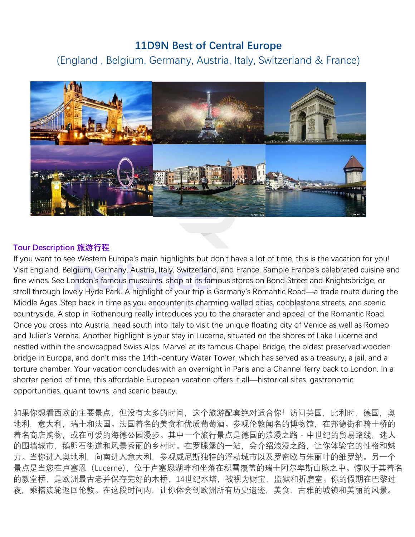# **11D9N Best of Central Europe**

(England , Belgium, Germany, Austria, Italy, Switzerland & France)



## **Tour Description 旅游行程**

If you want to see Western Europe's main highlights but don't have a lot of time, this is the vacation for you! Visit England, Belgium, Germany, Austria, Italy, Switzerland, and France. Sample France's celebrated cuisine and fine wines. See London's famous museums, shop at its famous stores on Bond Street and Knightsbridge, or stroll through lovely Hyde Park. A highlight of your trip is Germany's Romantic Road—a trade route during the Middle Ages. Step back in time as you encounter its charming walled cities, cobblestone streets, and scenic countryside. A stop in Rothenburg really introduces you to the character and appeal of the Romantic Road. Once you cross into Austria, head south into Italy to visit the unique floating city of Venice as well as Romeo and Juliet's Verona. Another highlight is your stay in Lucerne, situated on the shores of Lake Lucerne and nestled within the snowcapped Swiss Alps. Marvel at its famous Chapel Bridge, the oldest preserved wooden bridge in Europe, and don't miss the 14th-century Water Tower, which has served as a treasury, a jail, and a torture chamber. Your vacation concludes with an overnight in Paris and a Channel ferry back to London. In a shorter period of time, this affordable European vacation offers it all—historical sites, gastronomic opportunities, quaint towns, and scenic beauty.

如果你想看西欧的主要景点,但没有太多的时间,这个旅游配套绝对适合你!访问英国,比利时,德国,奥 地利,意大利,瑞士和法国。法国着名的美食和优质葡萄酒。参观伦敦闻名的博物馆,在邦德街和骑士桥的 着名商店购物,或在可爱的海德公园漫步。其中一个旅行景点是德国的浪漫之路 - 中世纪的贸易路线,迷人 的围墙城市,鹅卵石街道和风景秀丽的乡村时。在罗滕堡的一站,会介绍浪漫之路,让你体验它的性格和魅 力。当你进入奥地利,向南进入意大利,参观威尼斯独特的浮动城市以及罗密欧与朱丽叶的维罗纳。另一个 景点是当您在卢塞恩(Lucerne),位于卢塞恩湖畔和坐落在积雪覆盖的瑞士阿尔卑斯山脉之中。惊叹于其着名 的教堂桥,是欧洲最古老并保存完好的木桥,14世纪水塔,被视为财宝,监狱和折磨室。你的假期在巴黎过 夜,乘搭渡轮返回伦敦。在这段时间内,让你体会到欧洲所有历史遗迹,美食,古雅的城镇和美丽的风景**。**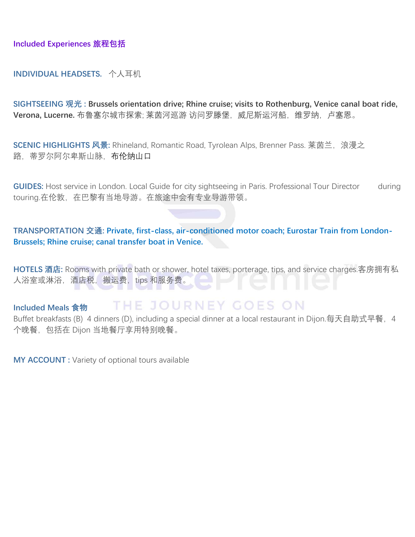**Included Experiences 旅程包括**

### **INDIVIDUAL HEADSETS.** 个人耳机

**SIGHTSEEING 观光 : Brussels orientation drive; Rhine cruise; visits to Rothenburg, Venice canal boat ride,**  Verona, Lucerne. 布鲁塞尔城市探索; 莱茵河巡游 访问罗滕堡, 威尼斯运河船, 维罗纳, 卢塞恩。

**SCENIC HIGHLIGHTS 风景:** Rhineland, Romantic Road, Tyrolean Alps, Brenner Pass. 莱茵兰, 浪漫之 路,蒂罗尔阿尔卑斯山脉,布伦纳山口

**GUIDES:** Host service in London. Local Guide for city sightseeing in Paris. Professional Tour Director during touring.在伦敦,在巴黎有当地导游。在旅途中会有专业导游带领。

### **TRANSPORTATION 交通: Private, first-class, air-conditioned motor coach; Eurostar Train from London-Brussels; Rhine cruise; canal transfer boat in Venice.**

**HOTELS 酒店:** Rooms with private bath or shower, hotel taxes, porterage, tips, and service charges.客房拥有私 人浴室或淋浴, 酒店税, 搬运费, tips 和服务费。

#### THE JOURNEY GOES ON **Included Meals 食物**

Buffet breakfasts (B) 4 dinners (D), including a special dinner at a local restaurant in Dijon.每天自助式早餐, 4 个晚餐,包括在 Dijon 当地餐厅享用特别晚餐。

**MY ACCOUNT :** Variety of optional tours available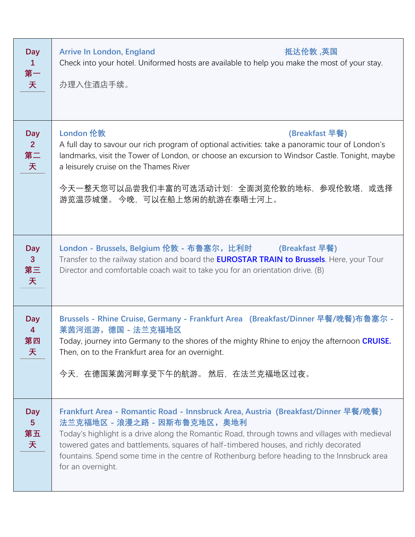| <b>Day</b><br>$\mathbf{1}$<br>第一<br>天            | <b>Arrive In London, England</b><br>抵达伦敦 ,英国<br>Check into your hotel. Uniformed hosts are available to help you make the most of your stay.<br>办理入住酒店手续。                                                                                                                                                                                                                                                                  |
|--------------------------------------------------|----------------------------------------------------------------------------------------------------------------------------------------------------------------------------------------------------------------------------------------------------------------------------------------------------------------------------------------------------------------------------------------------------------------------------|
| <b>Day</b><br>2 <sup>2</sup><br>第二<br>天          | <b>London 伦敦</b><br>(Breakfast 早餐)<br>A full day to savour our rich program of optional activities: take a panoramic tour of London's<br>landmarks, visit the Tower of London, or choose an excursion to Windsor Castle. Tonight, maybe<br>a leisurely cruise on the Thames River<br>今天一整天您可以品尝我们丰富的可选活动计划:全面浏览伦敦的地标,参观伦敦塔,或选择<br>游览温莎城堡。 今晚,可以在船上悠闲的航游在泰晤士河上。                                                             |
| <b>Day</b><br>$\mathbf{3}$<br>第三<br>天            | London - Brussels, Belgium 伦敦 - 布鲁塞尔, 比利时 (Breakfast 早餐)<br>Transfer to the railway station and board the <b>EUROSTAR TRAIN to Brussels</b> . Here, your Tour<br>Director and comfortable coach wait to take you for an orientation drive. (B)                                                                                                                                                                             |
| <b>Day</b><br>$\overline{\mathbf{4}}$<br>第四<br>天 | Brussels - Rhine Cruise, Germany - Frankfurt Area (Breakfast/Dinner 早餐/晚餐)布鲁塞尔 -<br>莱茵河巡游, 德国 - 法兰克福地区<br>Today, journey into Germany to the shores of the mighty Rhine to enjoy the afternoon CRUISE.<br>Then, on to the Frankfurt area for an overnight.<br>今天,在德国莱茵河畔享受下午的航游。 然后,在法兰克福地区过夜。                                                                                                                             |
| <b>Day</b><br>5 <sup>5</sup><br>第五<br>天          | Frankfurt Area - Romantic Road - Innsbruck Area, Austria (Breakfast/Dinner 早餐/晚餐)<br>法兰克福地区-浪漫之路-因斯布鲁克地区,奥地利<br>Today's highlight is a drive along the Romantic Road, through towns and villages with medieval<br>towered gates and battlements, squares of half-timbered houses, and richly decorated<br>fountains. Spend some time in the centre of Rothenburg before heading to the Innsbruck area<br>for an overnight. |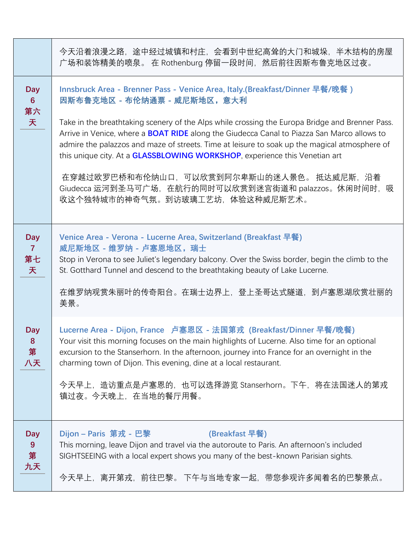|                                           | 今天沿着浪漫之路,途中经过城镇和村庄,会看到中世纪高耸的大门和城垛,半木结构的房屋<br>广场和装饰精美的喷泉。 在 Rothenburg 停留一段时间,然后前往因斯布鲁克地区过夜。                                                                                                                                                                                                                                                                                                                                                                                                                                                                                                                                                       |
|-------------------------------------------|---------------------------------------------------------------------------------------------------------------------------------------------------------------------------------------------------------------------------------------------------------------------------------------------------------------------------------------------------------------------------------------------------------------------------------------------------------------------------------------------------------------------------------------------------------------------------------------------------------------------------------------------------|
| <b>Day</b><br>$6 \overline{6}$<br>第六<br>天 | Innsbruck Area - Brenner Pass - Venice Area, Italy.(Breakfast/Dinner 早餐/晚餐)<br>因斯布鲁克地区 - 布伦纳通票 - 威尼斯地区,意大利<br>Take in the breathtaking scenery of the Alps while crossing the Europa Bridge and Brenner Pass.<br>Arrive in Venice, where a <b>BOAT RIDE</b> along the Giudecca Canal to Piazza San Marco allows to<br>admire the palazzos and maze of streets. Time at leisure to soak up the magical atmosphere of<br>this unique city. At a <b>GLASSBLOWING WORKSHOP</b> , experience this Venetian art<br>在穿越过欧罗巴桥和布伦纳山口,可以欣赏到阿尔卑斯山的迷人景色。 抵达威尼斯,沿着<br>Giudecca 运河到圣马可广场, 在航行的同时可以欣赏到迷宫街道和 palazzos。休闲时间时, 吸<br>收这个独特城市的神奇气氛。到访玻璃工艺坊,体验这种威尼斯艺术。 |
| <b>Day</b><br>$\overline{7}$<br>第七<br>天   | Venice Area - Verona - Lucerne Area, Switzerland (Breakfast 早餐)<br>威尼斯地区-维罗纳-卢塞恩地区,瑞士<br>Stop in Verona to see Juliet's legendary balcony. Over the Swiss border, begin the climb to the<br>St. Gotthard Tunnel and descend to the breathtaking beauty of Lake Lucerne.<br>在维罗纳观赏朱丽叶的传奇阳台。在瑞士边界上,登上圣哥达式隧道,到卢塞恩湖欣赏壮丽的<br>美景。                                                                                                                                                                                                                                                                                                                       |
| <b>Day</b><br>8<br>第<br>八天                | Lucerne Area - Dijon, France 卢塞恩区 - 法国第戎 (Breakfast/Dinner 早餐/晚餐)<br>Your visit this morning focuses on the main highlights of Lucerne. Also time for an optional<br>excursion to the Stanserhorn. In the afternoon, journey into France for an overnight in the<br>charming town of Dijon. This evening, dine at a local restaurant.<br>今天早上,造访重点是卢塞恩的,也可以选择游览 Stanserhorn。下午,将在法国迷人的第戎<br>镇过夜。今天晚上,在当地的餐厅用餐。                                                                                                                                                                                                                                    |
| <b>Day</b><br>9<br>第<br>九天                | Dijon - Paris 第戎 - 巴黎<br>(Breakfast 早餐)<br>This morning, leave Dijon and travel via the autoroute to Paris. An afternoon's included<br>SIGHTSEEING with a local expert shows you many of the best-known Parisian sights.<br>今天早上,离开第戎,前往巴黎。 下午与当地专家一起,带您参观许多闻着名的巴黎景点。                                                                                                                                                                                                                                                                                                                                                                             |